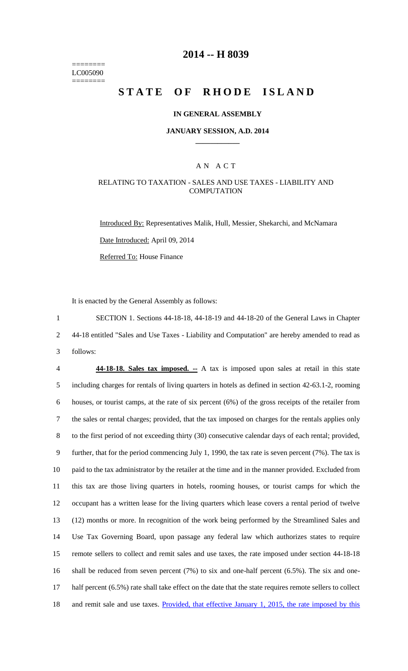======== LC005090 ========

# **2014 -- H 8039**

# **STATE OF RHODE ISLAND**

#### **IN GENERAL ASSEMBLY**

#### **JANUARY SESSION, A.D. 2014 \_\_\_\_\_\_\_\_\_\_\_\_**

### A N A C T

### RELATING TO TAXATION - SALES AND USE TAXES - LIABILITY AND **COMPUTATION**

Introduced By: Representatives Malik, Hull, Messier, Shekarchi, and McNamara Date Introduced: April 09, 2014 Referred To: House Finance

It is enacted by the General Assembly as follows:

1 SECTION 1. Sections 44-18-18, 44-18-19 and 44-18-20 of the General Laws in Chapter 2 44-18 entitled "Sales and Use Taxes - Liability and Computation" are hereby amended to read as 3 follows:

 **44-18-18. Sales tax imposed. --** A tax is imposed upon sales at retail in this state including charges for rentals of living quarters in hotels as defined in section 42-63.1-2, rooming houses, or tourist camps, at the rate of six percent (6%) of the gross receipts of the retailer from the sales or rental charges; provided, that the tax imposed on charges for the rentals applies only to the first period of not exceeding thirty (30) consecutive calendar days of each rental; provided, further, that for the period commencing July 1, 1990, the tax rate is seven percent (7%). The tax is paid to the tax administrator by the retailer at the time and in the manner provided. Excluded from this tax are those living quarters in hotels, rooming houses, or tourist camps for which the occupant has a written lease for the living quarters which lease covers a rental period of twelve (12) months or more. In recognition of the work being performed by the Streamlined Sales and Use Tax Governing Board, upon passage any federal law which authorizes states to require remote sellers to collect and remit sales and use taxes, the rate imposed under section 44-18-18 shall be reduced from seven percent (7%) to six and one-half percent (6.5%). The six and one- half percent (6.5%) rate shall take effect on the date that the state requires remote sellers to collect and remit sale and use taxes. Provided, that effective January 1, 2015, the rate imposed by this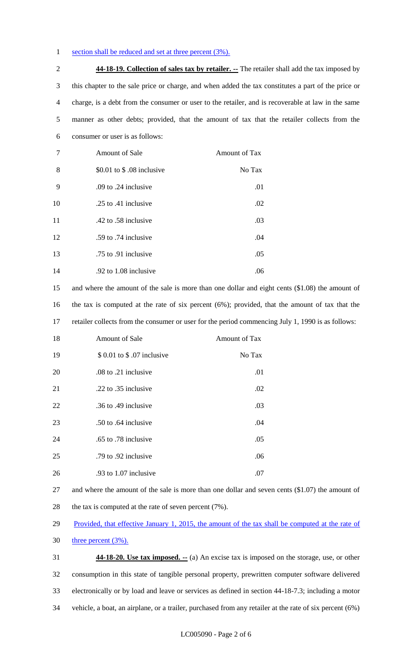#### 1 section shall be reduced and set at three percent (3%).

 **44-18-19. Collection of sales tax by retailer. --** The retailer shall add the tax imposed by this chapter to the sale price or charge, and when added the tax constitutes a part of the price or charge, is a debt from the consumer or user to the retailer, and is recoverable at law in the same manner as other debts; provided, that the amount of tax that the retailer collects from the consumer or user is as follows:

| 7  | <b>Amount of Sale</b>     | Amount of Tax |
|----|---------------------------|---------------|
| 8  | \$0.01 to \$.08 inclusive | No Tax        |
| 9  | .09 to .24 inclusive      | .01           |
| 10 | .25 to .41 inclusive      | .02           |
| 11 | .42 to .58 inclusive      | .03           |
| 12 | .59 to .74 inclusive      | .04           |
| 13 | .75 to .91 inclusive      | .05           |
| 14 | .92 to 1.08 inclusive     | .06           |

 and where the amount of the sale is more than one dollar and eight cents (\$1.08) the amount of the tax is computed at the rate of six percent (6%); provided, that the amount of tax that the retailer collects from the consumer or user for the period commencing July 1, 1990 is as follows:

| 18 | <b>Amount of Sale</b>       | Amount of Tax |
|----|-----------------------------|---------------|
| 19 | \$ 0.01 to \$ .07 inclusive | No Tax        |
| 20 | .08 to .21 inclusive        | .01           |
| 21 | .22 to .35 inclusive        | .02           |
| 22 | .36 to .49 inclusive        | .03           |
| 23 | .50 to .64 inclusive        | .04           |
| 24 | .65 to .78 inclusive        | .05           |
| 25 | .79 to .92 inclusive        | .06           |
| 26 | .93 to 1.07 inclusive       | .07           |

 and where the amount of the sale is more than one dollar and seven cents (\$1.07) the amount of 28 the tax is computed at the rate of seven percent (7%).

29 Provided, that effective January 1, 2015, the amount of the tax shall be computed at the rate of

three percent  $(3\%)$ .

 **44-18-20. Use tax imposed. --** (a) An excise tax is imposed on the storage, use, or other consumption in this state of tangible personal property, prewritten computer software delivered electronically or by load and leave or services as defined in section 44-18-7.3; including a motor vehicle, a boat, an airplane, or a trailer, purchased from any retailer at the rate of six percent (6%)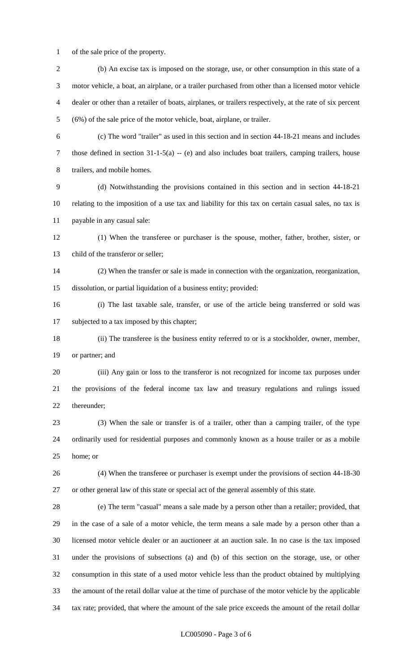of the sale price of the property.

| $\mathbf{2}$ | (b) An excise tax is imposed on the storage, use, or other consumption in this state of a                 |
|--------------|-----------------------------------------------------------------------------------------------------------|
| 3            | motor vehicle, a boat, an airplane, or a trailer purchased from other than a licensed motor vehicle       |
| 4            | dealer or other than a retailer of boats, airplanes, or trailers respectively, at the rate of six percent |
| 5            | (6%) of the sale price of the motor vehicle, boat, airplane, or trailer.                                  |
| 6            | (c) The word "trailer" as used in this section and in section 44-18-21 means and includes                 |
| 7            | those defined in section $31-1-5(a) - (e)$ and also includes boat trailers, camping trailers, house       |
| 8            | trailers, and mobile homes.                                                                               |
| 9            | (d) Notwithstanding the provisions contained in this section and in section 44-18-21                      |
| 10           | relating to the imposition of a use tax and liability for this tax on certain casual sales, no tax is     |
| 11           | payable in any casual sale:                                                                               |
| 12           | (1) When the transferee or purchaser is the spouse, mother, father, brother, sister, or                   |
| 13           | child of the transferor or seller;                                                                        |
| 14           | (2) When the transfer or sale is made in connection with the organization, reorganization,                |
| 15           | dissolution, or partial liquidation of a business entity; provided:                                       |
| 16           | (i) The last taxable sale, transfer, or use of the article being transferred or sold was                  |
| 17           | subjected to a tax imposed by this chapter;                                                               |
| 18           | (ii) The transferee is the business entity referred to or is a stockholder, owner, member,                |
| 19           | or partner; and                                                                                           |
| 20           | (iii) Any gain or loss to the transferor is not recognized for income tax purposes under                  |
| 21           | the provisions of the federal income tax law and treasury regulations and rulings issued                  |
| 22           | thereunder;                                                                                               |
| 23           | (3) When the sale or transfer is of a trailer, other than a camping trailer, of the type                  |
| 24           | ordinarily used for residential purposes and commonly known as a house trailer or as a mobile             |
| 25           | home; or                                                                                                  |
| 26           | (4) When the transferee or purchaser is exempt under the provisions of section 44-18-30                   |
| 27           | or other general law of this state or special act of the general assembly of this state.                  |
| 28           | (e) The term "casual" means a sale made by a person other than a retailer; provided, that                 |
| 29           | in the case of a sale of a motor vehicle, the term means a sale made by a person other than a             |
| 30           | licensed motor vehicle dealer or an auctioneer at an auction sale. In no case is the tax imposed          |
| 31           | under the provisions of subsections (a) and (b) of this section on the storage, use, or other             |
| 32           | consumption in this state of a used motor vehicle less than the product obtained by multiplying           |
| 33           | the amount of the retail dollar value at the time of purchase of the motor vehicle by the applicable      |
| 34           | tax rate; provided, that where the amount of the sale price exceeds the amount of the retail dollar       |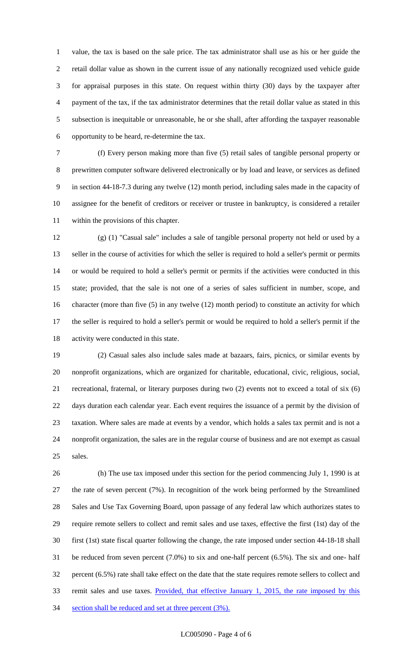value, the tax is based on the sale price. The tax administrator shall use as his or her guide the retail dollar value as shown in the current issue of any nationally recognized used vehicle guide for appraisal purposes in this state. On request within thirty (30) days by the taxpayer after payment of the tax, if the tax administrator determines that the retail dollar value as stated in this subsection is inequitable or unreasonable, he or she shall, after affording the taxpayer reasonable opportunity to be heard, re-determine the tax.

 (f) Every person making more than five (5) retail sales of tangible personal property or prewritten computer software delivered electronically or by load and leave, or services as defined in section 44-18-7.3 during any twelve (12) month period, including sales made in the capacity of assignee for the benefit of creditors or receiver or trustee in bankruptcy, is considered a retailer within the provisions of this chapter.

 (g) (1) "Casual sale" includes a sale of tangible personal property not held or used by a seller in the course of activities for which the seller is required to hold a seller's permit or permits or would be required to hold a seller's permit or permits if the activities were conducted in this state; provided, that the sale is not one of a series of sales sufficient in number, scope, and character (more than five (5) in any twelve (12) month period) to constitute an activity for which the seller is required to hold a seller's permit or would be required to hold a seller's permit if the activity were conducted in this state.

 (2) Casual sales also include sales made at bazaars, fairs, picnics, or similar events by nonprofit organizations, which are organized for charitable, educational, civic, religious, social, recreational, fraternal, or literary purposes during two (2) events not to exceed a total of six (6) days duration each calendar year. Each event requires the issuance of a permit by the division of taxation. Where sales are made at events by a vendor, which holds a sales tax permit and is not a nonprofit organization, the sales are in the regular course of business and are not exempt as casual sales.

 (h) The use tax imposed under this section for the period commencing July 1, 1990 is at the rate of seven percent (7%). In recognition of the work being performed by the Streamlined Sales and Use Tax Governing Board, upon passage of any federal law which authorizes states to require remote sellers to collect and remit sales and use taxes, effective the first (1st) day of the first (1st) state fiscal quarter following the change, the rate imposed under section 44-18-18 shall be reduced from seven percent (7.0%) to six and one-half percent (6.5%). The six and one- half percent (6.5%) rate shall take effect on the date that the state requires remote sellers to collect and remit sales and use taxes. Provided, that effective January 1, 2015, the rate imposed by this 34 section shall be reduced and set at three percent (3%).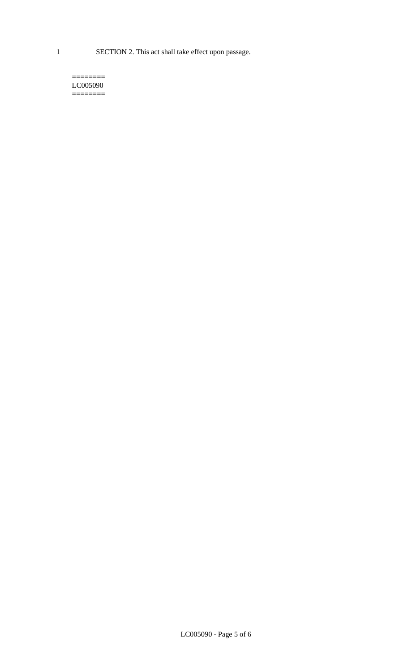1 SECTION 2. This act shall take effect upon passage.

#### $=$ LC005090  $=$